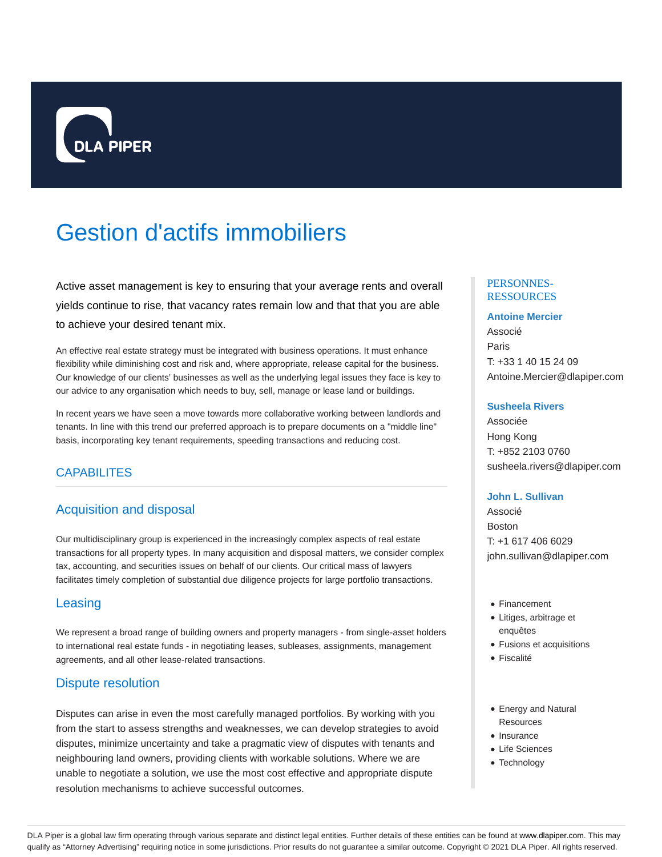

# Gestion d'actifs immobiliers

Active asset management is key to ensuring that your average rents and overall yields continue to rise, that vacancy rates remain low and that that you are able to achieve your desired tenant mix.

An effective real estate strategy must be integrated with business operations. It must enhance flexibility while diminishing cost and risk and, where appropriate, release capital for the business. Our knowledge of our clients' businesses as well as the underlying legal issues they face is key to our advice to any organisation which needs to buy, sell, manage or lease land or buildings.

In recent years we have seen a move towards more collaborative working between landlords and tenants. In line with this trend our preferred approach is to prepare documents on a "middle line" basis, incorporating key tenant requirements, speeding transactions and reducing cost.

# CAPABILITES

# Acquisition and disposal

Our multidisciplinary group is experienced in the increasingly complex aspects of real estate transactions for all property types. In many acquisition and disposal matters, we consider complex tax, accounting, and securities issues on behalf of our clients. Our critical mass of lawyers facilitates timely completion of substantial due diligence projects for large portfolio transactions.

## **Leasing**

We represent a broad range of building owners and property managers - from single-asset holders to international real estate funds - in negotiating leases, subleases, assignments, management agreements, and all other lease-related transactions.

## Dispute resolution

Disputes can arise in even the most carefully managed portfolios. By working with you from the start to assess strengths and weaknesses, we can develop strategies to avoid disputes, minimize uncertainty and take a pragmatic view of disputes with tenants and neighbouring land owners, providing clients with workable solutions. Where we are unable to negotiate a solution, we use the most cost effective and appropriate dispute resolution mechanisms to achieve successful outcomes.

#### PERSONNES-RESSOURCES

#### **Antoine Mercier**

Associé Paris T: +33 1 40 15 24 09 Antoine.Mercier@dlapiper.com

#### **Susheela Rivers**

Associée Hong Kong T: +852 2103 0760 susheela.rivers@dlapiper.com

#### **John L. Sullivan**

Associé Boston T: +1 617 406 6029 john.sullivan@dlapiper.com

- Financement
- Litiges, arbitrage et enquêtes
- Fusions et acquisitions
- Fiscalité
- Energy and Natural **Resources**
- $\bullet$  Insurance
- Life Sciences
- Technology

DLA Piper is a global law firm operating through various separate and distinct legal entities. Further details of these entities can be found at www.dlapiper.com. This may qualify as "Attorney Advertising" requiring notice in some jurisdictions. Prior results do not guarantee a similar outcome. Copyright @ 2021 DLA Piper. All rights reserved.